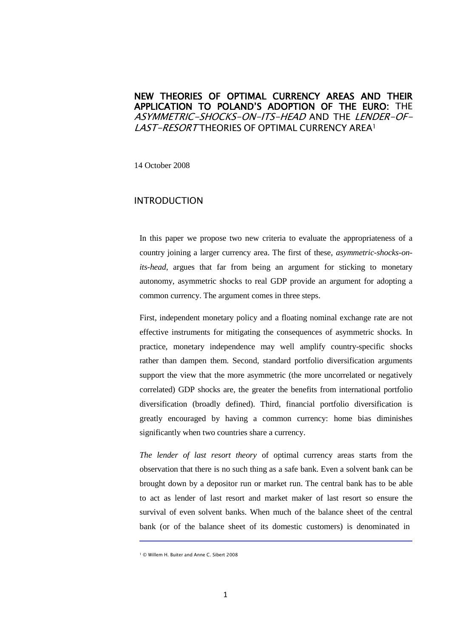# NEW THEORIES OF OPTIMAL CURRENCY AREAS AND THEIR APPLICATION TO POLAND'S ADOPTION OF THE EURO: THE ASYMMETRIC-SHOCKS-ON-ITS-HEAD AND THE LENDER-OF-LAST-RESORT THEORIES OF OPTIMAL CURRENCY AREA<sup>1</sup>

14 October 2008

### INTRODUCTION

In this paper we propose two new criteria to evaluate the appropriateness of a country joining a larger currency area. The first of these, *asymmetric-shocks-onits-head*, argues that far from being an argument for sticking to monetary autonomy, asymmetric shocks to real GDP provide an argument for adopting a common currency. The argument comes in three steps.

First, independent monetary policy and a floating nominal exchange rate are not effective instruments for mitigating the consequences of asymmetric shocks. In practice, monetary independence may well amplify country-specific shocks rather than dampen them. Second, standard portfolio diversification arguments support the view that the more asymmetric (the more uncorrelated or negatively correlated) GDP shocks are, the greater the benefits from international portfolio diversification (broadly defined). Third, financial portfolio diversification is greatly encouraged by having a common currency: home bias diminishes significantly when two countries share a currency.

*The lender of last resort theory* of optimal currency areas starts from the observation that there is no such thing as a safe bank. Even a solvent bank can be brought down by a depositor run or market run. The central bank has to be able to act as lender of last resort and market maker of last resort so ensure the survival of even solvent banks. When much of the balance sheet of the central bank (or of the balance sheet of its domestic customers) is denominated in

<sup>1</sup> © Willem H. Buiter and Anne C. Sibert 2008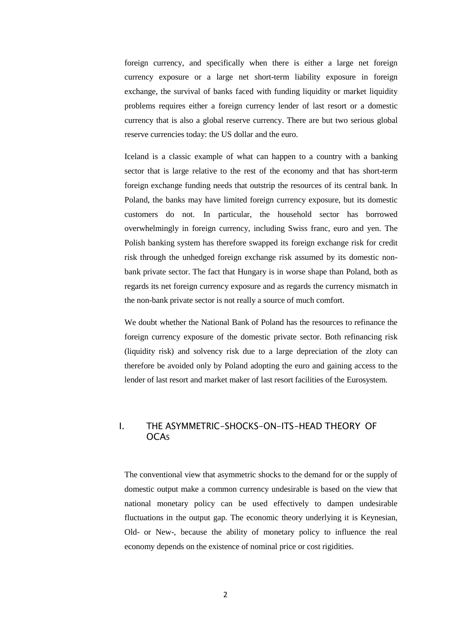foreign currency, and specifically when there is either a large net foreign currency exposure or a large net short-term liability exposure in foreign exchange, the survival of banks faced with funding liquidity or market liquidity problems requires either a foreign currency lender of last resort or a domestic currency that is also a global reserve currency. There are but two serious global reserve currencies today: the US dollar and the euro.

Iceland is a classic example of what can happen to a country with a banking sector that is large relative to the rest of the economy and that has short-term foreign exchange funding needs that outstrip the resources of its central bank. In Poland, the banks may have limited foreign currency exposure, but its domestic customers do not. In particular, the household sector has borrowed overwhelmingly in foreign currency, including Swiss franc, euro and yen. The Polish banking system has therefore swapped its foreign exchange risk for credit risk through the unhedged foreign exchange risk assumed by its domestic nonbank private sector. The fact that Hungary is in worse shape than Poland, both as regards its net foreign currency exposure and as regards the currency mismatch in the non-bank private sector is not really a source of much comfort.

We doubt whether the National Bank of Poland has the resources to refinance the foreign currency exposure of the domestic private sector. Both refinancing risk (liquidity risk) and solvency risk due to a large depreciation of the zloty can therefore be avoided only by Poland adopting the euro and gaining access to the lender of last resort and market maker of last resort facilities of the Eurosystem.

# I. THE ASYMMETRIC-SHOCKS-ON-ITS-HEAD THEORY OF **OCAs**

The conventional view that asymmetric shocks to the demand for or the supply of domestic output make a common currency undesirable is based on the view that national monetary policy can be used effectively to dampen undesirable fluctuations in the output gap. The economic theory underlying it is Keynesian, Old- or New-, because the ability of monetary policy to influence the real economy depends on the existence of nominal price or cost rigidities.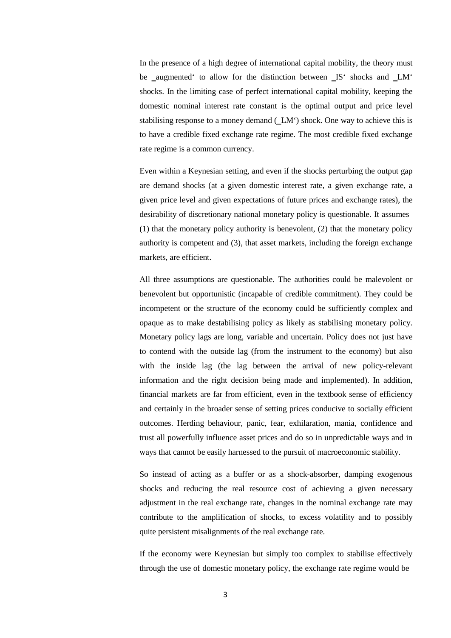In the presence of a high degree of international capital mobility, the theory must be \_augmented' to allow for the distinction between \_IS' shocks and \_LM' shocks. In the limiting case of perfect international capital mobility, keeping the domestic nominal interest rate constant is the optimal output and price level stabilising response to a money demand (LM') shock. One way to achieve this is to have a credible fixed exchange rate regime. The most credible fixed exchange rate regime is a common currency.

Even within a Keynesian setting, and even if the shocks perturbing the output gap are demand shocks (at a given domestic interest rate, a given exchange rate, a given price level and given expectations of future prices and exchange rates), the desirability of discretionary national monetary policy is questionable. It assumes (1) that the monetary policy authority is benevolent, (2) that the monetary policy authority is competent and (3), that asset markets, including the foreign exchange markets, are efficient.

All three assumptions are questionable. The authorities could be malevolent or benevolent but opportunistic (incapable of credible commitment). They could be incompetent or the structure of the economy could be sufficiently complex and opaque as to make destabilising policy as likely as stabilising monetary policy. Monetary policy lags are long, variable and uncertain. Policy does not just have to contend with the outside lag (from the instrument to the economy) but also with the inside lag (the lag between the arrival of new policy-relevant information and the right decision being made and implemented). In addition, financial markets are far from efficient, even in the textbook sense of efficiency and certainly in the broader sense of setting prices conducive to socially efficient outcomes. Herding behaviour, panic, fear, exhilaration, mania, confidence and trust all powerfully influence asset prices and do so in unpredictable ways and in ways that cannot be easily harnessed to the pursuit of macroeconomic stability.

So instead of acting as a buffer or as a shock-absorber, damping exogenous shocks and reducing the real resource cost of achieving a given necessary adjustment in the real exchange rate, changes in the nominal exchange rate may contribute to the amplification of shocks, to excess volatility and to possibly quite persistent misalignments of the real exchange rate.

If the economy were Keynesian but simply too complex to stabilise effectively through the use of domestic monetary policy, the exchange rate regime would be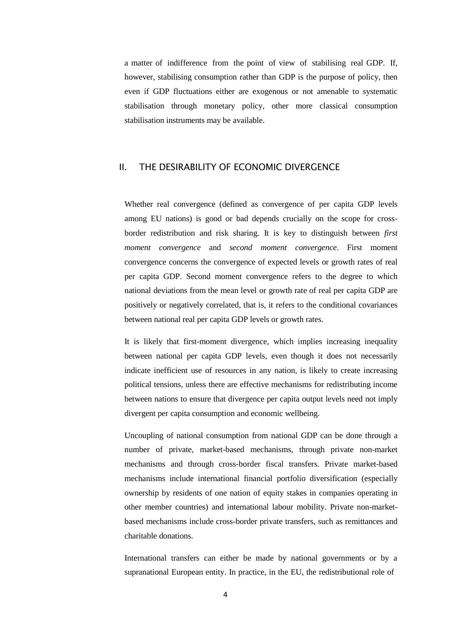a matter of indifference from the point of view of stabilising real GDP. If, however, stabilising consumption rather than GDP is the purpose of policy, then even if GDP fluctuations either are exogenous or not amenable to systematic stabilisation through monetary policy, other more classical consumption stabilisation instruments may be available.

### II. THE DESIRABILITY OF ECONOMIC DIVERGENCE

Whether real convergence (defined as convergence of per capita GDP levels among EU nations) is good or bad depends crucially on the scope for crossborder redistribution and risk sharing. It is key to distinguish between *first moment convergence* and *second moment convergence*. First moment convergence concerns the convergence of expected levels or growth rates of real per capita GDP. Second moment convergence refers to the degree to which national deviations from the mean level or growth rate of real per capita GDP are positively or negatively correlated, that is, it refers to the conditional covariances between national real per capita GDP levels or growth rates.

It is likely that first-moment divergence, which implies increasing inequality between national per capita GDP levels, even though it does not necessarily indicate inefficient use of resources in any nation, is likely to create increasing political tensions, unless there are effective mechanisms for redistributing income between nations to ensure that divergence per capita output levels need not imply divergent per capita consumption and economic wellbeing.

Uncoupling of national consumption from national GDP can be done through a number of private, market-based mechanisms, through private non-market mechanisms and through cross-border fiscal transfers. Private market-based mechanisms include international financial portfolio diversification (especially ownership by residents of one nation of equity stakes in companies operating in other member countries) and international labour mobility. Private non-marketbased mechanisms include cross-border private transfers, such as remittances and charitable donations.

International transfers can either be made by national governments or by a supranational European entity. In practice, in the EU, the redistributional role of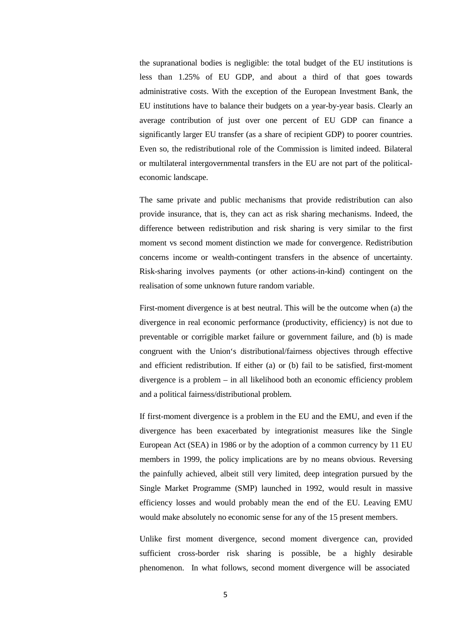the supranational bodies is negligible: the total budget of the EU institutions is less than 1.25% of EU GDP, and about a third of that goes towards administrative costs. With the exception of the European Investment Bank, the EU institutions have to balance their budgets on a year-by-year basis. Clearly an average contribution of just over one percent of EU GDP can finance a significantly larger EU transfer (as a share of recipient GDP) to poorer countries. Even so, the redistributional role of the Commission is limited indeed. Bilateral or multilateral intergovernmental transfers in the EU are not part of the politicaleconomic landscape.

The same private and public mechanisms that provide redistribution can also provide insurance, that is, they can act as risk sharing mechanisms. Indeed, the difference between redistribution and risk sharing is very similar to the first moment vs second moment distinction we made for convergence. Redistribution concerns income or wealth-contingent transfers in the absence of uncertainty. Risk-sharing involves payments (or other actions-in-kind) contingent on the realisation of some unknown future random variable.

First-moment divergence is at best neutral. This will be the outcome when (a) the divergence in real economic performance (productivity, efficiency) is not due to preventable or corrigible market failure or government failure, and (b) is made congruent with the Union's distributional/fairness objectives through effective and efficient redistribution. If either (a) or (b) fail to be satisfied, first-moment divergence is a problem – in all likelihood both an economic efficiency problem and a political fairness/distributional problem.

If first-moment divergence is a problem in the EU and the EMU, and even if the divergence has been exacerbated by integrationist measures like the Single European Act (SEA) in 1986 or by the adoption of a common currency by 11 EU members in 1999, the policy implications are by no means obvious. Reversing the painfully achieved, albeit still very limited, deep integration pursued by the Single Market Programme (SMP) launched in 1992, would result in massive efficiency losses and would probably mean the end of the EU. Leaving EMU would make absolutely no economic sense for any of the 15 present members.

Unlike first moment divergence, second moment divergence can, provided sufficient cross-border risk sharing is possible, be a highly desirable phenomenon. In what follows, second moment divergence will be associated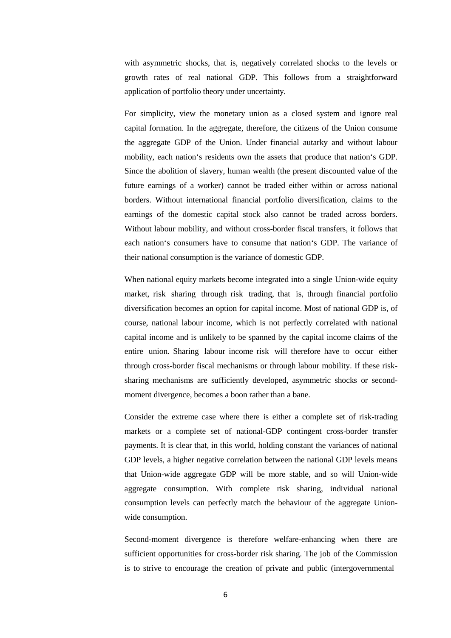with asymmetric shocks, that is, negatively correlated shocks to the levels or growth rates of real national GDP. This follows from a straightforward application of portfolio theory under uncertainty.

For simplicity, view the monetary union as a closed system and ignore real capital formation. In the aggregate, therefore, the citizens of the Union consume the aggregate GDP of the Union. Under financial autarky and without labour mobility, each nation's residents own the assets that produce that nation's GDP. Since the abolition of slavery, human wealth (the present discounted value of the future earnings of a worker) cannot be traded either within or across national borders. Without international financial portfolio diversification, claims to the earnings of the domestic capital stock also cannot be traded across borders. Without labour mobility, and without cross-border fiscal transfers, it follows that each nation's consumers have to consume that nation's GDP. The variance of their national consumption is the variance of domestic GDP.

When national equity markets become integrated into a single Union-wide equity market, risk sharing through risk trading, that is, through financial portfolio diversification becomes an option for capital income. Most of national GDP is, of course, national labour income, which is not perfectly correlated with national capital income and is unlikely to be spanned by the capital income claims of the entire union. Sharing labour income risk will therefore have to occur either through cross-border fiscal mechanisms or through labour mobility. If these risksharing mechanisms are sufficiently developed, asymmetric shocks or secondmoment divergence, becomes a boon rather than a bane.

Consider the extreme case where there is either a complete set of risk-trading markets or a complete set of national-GDP contingent cross-border transfer payments. It is clear that, in this world, holding constant the variances of national GDP levels, a higher negative correlation between the national GDP levels means that Union-wide aggregate GDP will be more stable, and so will Union-wide aggregate consumption. With complete risk sharing, individual national consumption levels can perfectly match the behaviour of the aggregate Unionwide consumption.

Second-moment divergence is therefore welfare-enhancing when there are sufficient opportunities for cross-border risk sharing. The job of the Commission is to strive to encourage the creation of private and public (intergovernmental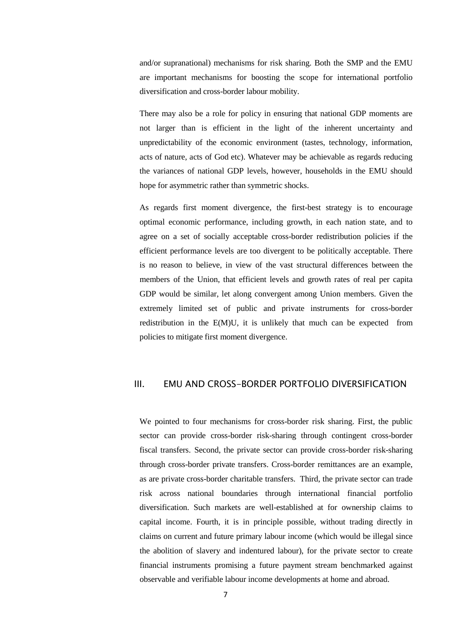and/or supranational) mechanisms for risk sharing. Both the SMP and the EMU are important mechanisms for boosting the scope for international portfolio diversification and cross-border labour mobility.

There may also be a role for policy in ensuring that national GDP moments are not larger than is efficient in the light of the inherent uncertainty and unpredictability of the economic environment (tastes, technology, information, acts of nature, acts of God etc). Whatever may be achievable as regards reducing the variances of national GDP levels, however, households in the EMU should hope for asymmetric rather than symmetric shocks.

As regards first moment divergence, the first-best strategy is to encourage optimal economic performance, including growth, in each nation state, and to agree on a set of socially acceptable cross-border redistribution policies if the efficient performance levels are too divergent to be politically acceptable. There is no reason to believe, in view of the vast structural differences between the members of the Union, that efficient levels and growth rates of real per capita GDP would be similar, let along convergent among Union members. Given the extremely limited set of public and private instruments for cross-border redistribution in the E(M)U, it is unlikely that much can be expected from policies to mitigate first moment divergence.

#### III. EMU AND CROSS-BORDER PORTFOLIO DIVERSIFICATION

We pointed to four mechanisms for cross-border risk sharing. First, the public sector can provide cross-border risk-sharing through contingent cross-border fiscal transfers. Second, the private sector can provide cross-border risk-sharing through cross-border private transfers. Cross-border remittances are an example, as are private cross-border charitable transfers. Third, the private sector can trade risk across national boundaries through international financial portfolio diversification. Such markets are well-established at for ownership claims to capital income. Fourth, it is in principle possible, without trading directly in claims on current and future primary labour income (which would be illegal since the abolition of slavery and indentured labour), for the private sector to create financial instruments promising a future payment stream benchmarked against observable and verifiable labour income developments at home and abroad.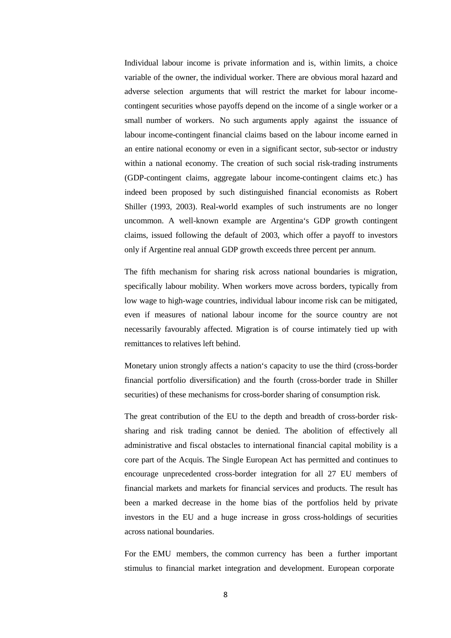Individual labour income is private information and is, within limits, a choice variable of the owner, the individual worker. There are obvious moral hazard and adverse selection arguments that will restrict the market for labour incomecontingent securities whose payoffs depend on the income of a single worker or a small number of workers. No such arguments apply against the issuance of labour income-contingent financial claims based on the labour income earned in an entire national economy or even in a significant sector, sub-sector or industry within a national economy. The creation of such social risk-trading instruments (GDP-contingent claims, aggregate labour income-contingent claims etc.) has indeed been proposed by such distinguished financial economists as Robert Shiller (1993, 2003). Real-world examples of such instruments are no longer uncommon. A well-known example are Argentina's GDP growth contingent claims, issued following the default of 2003, which offer a payoff to investors only if Argentine real annual GDP growth exceeds three percent per annum.

The fifth mechanism for sharing risk across national boundaries is migration, specifically labour mobility. When workers move across borders, typically from low wage to high-wage countries, individual labour income risk can be mitigated, even if measures of national labour income for the source country are not necessarily favourably affected. Migration is of course intimately tied up with remittances to relatives left behind.

Monetary union strongly affects a nation's capacity to use the third (cross-border financial portfolio diversification) and the fourth (cross-border trade in Shiller securities) of these mechanisms for cross-border sharing of consumption risk.

The great contribution of the EU to the depth and breadth of cross-border risksharing and risk trading cannot be denied. The abolition of effectively all administrative and fiscal obstacles to international financial capital mobility is a core part of the Acquis. The Single European Act has permitted and continues to encourage unprecedented cross-border integration for all 27 EU members of financial markets and markets for financial services and products. The result has been a marked decrease in the home bias of the portfolios held by private investors in the EU and a huge increase in gross cross-holdings of securities across national boundaries.

For the EMU members, the common currency has been a further important stimulus to financial market integration and development. European corporate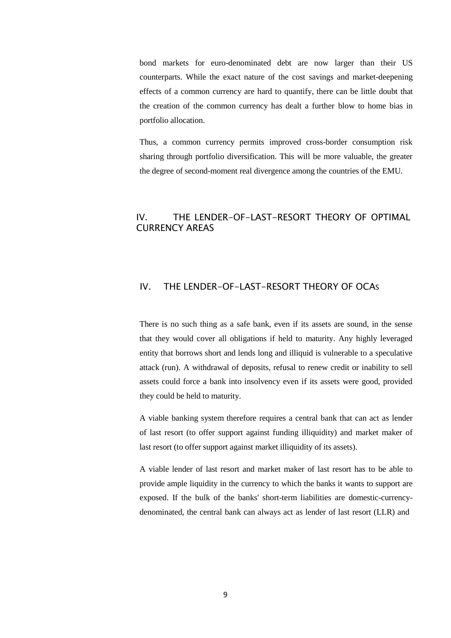bond markets for euro-denominated debt are now larger than their US counterparts. While the exact nature of the cost savings and market-deepening effects of a common currency are hard to quantify, there can be little doubt that the creation of the common currency has dealt a further blow to home bias in portfolio allocation.

Thus, a common currency permits improved cross-border consumption risk sharing through portfolio diversification. This will be more valuable, the greater the degree of second-moment real divergence among the countries of the EMU.

# IV. THE LENDER-OF-LAST-RESORT THEORY OF OPTIMAL CURRENCY AREAS

### IV. THE LENDER-OF-LAST-RESORT THEORY OF OCAS

There is no such thing as a safe bank, even if its assets are sound, in the sense that they would cover all obligations if held to maturity. Any highly leveraged entity that borrows short and lends long and illiquid is vulnerable to a speculative attack (run). A withdrawal of deposits, refusal to renew credit or inability to sell assets could force a bank into insolvency even if its assets were good, provided they could be held to maturity.

A viable banking system therefore requires a central bank that can act as lender of last resort (to offer support against funding illiquidity) and market maker of last resort (to offer support against market illiquidity of its assets).

A viable lender of last resort and market maker of last resort has to be able to provide ample liquidity in the currency to which the banks it wants to support are exposed. If the bulk of the banks' short-term liabilities are domestic-currencydenominated, the central bank can always act as lender of last resort (LLR) and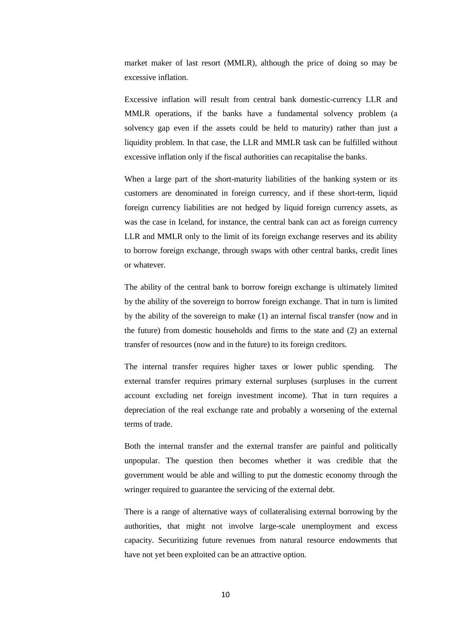market maker of last resort (MMLR), although the price of doing so may be excessive inflation.

Excessive inflation will result from central bank domestic-currency LLR and MMLR operations, if the banks have a fundamental solvency problem (a solvency gap even if the assets could be held to maturity) rather than just a liquidity problem. In that case, the LLR and MMLR task can be fulfilled without excessive inflation only if the fiscal authorities can recapitalise the banks.

When a large part of the short-maturity liabilities of the banking system or its customers are denominated in foreign currency, and if these short-term, liquid foreign currency liabilities are not hedged by liquid foreign currency assets, as was the case in Iceland, for instance, the central bank can act as foreign currency LLR and MMLR only to the limit of its foreign exchange reserves and its ability to borrow foreign exchange, through swaps with other central banks, credit lines or whatever.

The ability of the central bank to borrow foreign exchange is ultimately limited by the ability of the sovereign to borrow foreign exchange. That in turn is limited by the ability of the sovereign to make (1) an internal fiscal transfer (now and in the future) from domestic households and firms to the state and (2) an external transfer of resources (now and in the future) to its foreign creditors.

The internal transfer requires higher taxes or lower public spending. The external transfer requires primary external surpluses (surpluses in the current account excluding net foreign investment income). That in turn requires a depreciation of the real exchange rate and probably a worsening of the external terms of trade.

Both the internal transfer and the external transfer are painful and politically unpopular. The question then becomes whether it was credible that the government would be able and willing to put the domestic economy through the wringer required to guarantee the servicing of the external debt.

There is a range of alternative ways of collateralising external borrowing by the authorities, that might not involve large-scale unemployment and excess capacity. Securitizing future revenues from natural resource endowments that have not yet been exploited can be an attractive option.